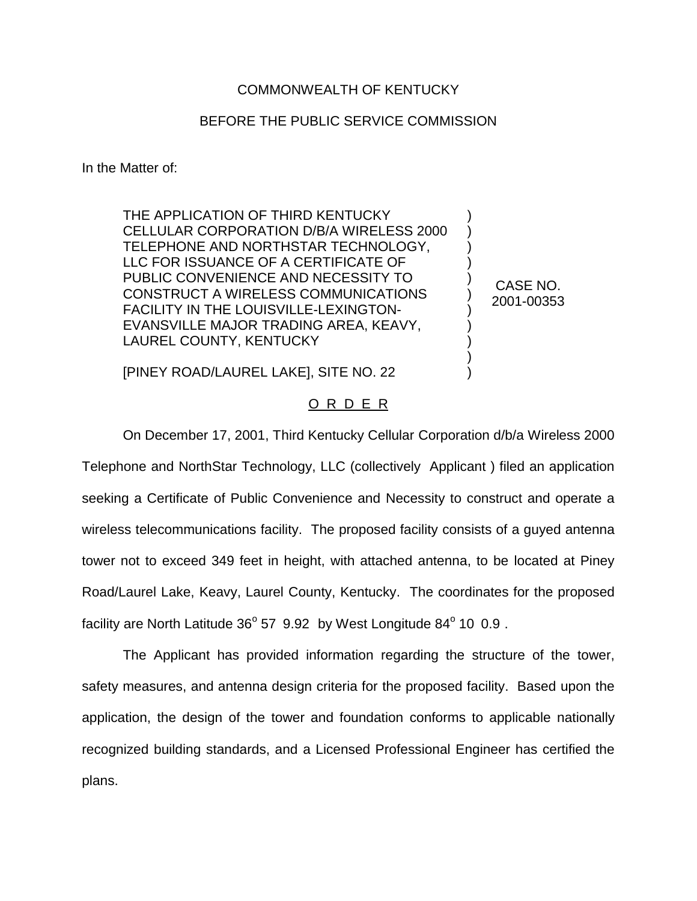## COMMONWEALTH OF KENTUCKY

## BEFORE THE PUBLIC SERVICE COMMISSION

In the Matter of:

THE APPLICATION OF THIRD KENTUCKY CELLULAR CORPORATION D/B/A WIRELESS 2000 TELEPHONE AND NORTHSTAR TECHNOLOGY, LLC FOR ISSUANCE OF A CERTIFICATE OF PUBLIC CONVENIENCE AND NECESSITY TO CONSTRUCT A WIRELESS COMMUNICATIONS FACILITY IN THE LOUISVILLE-LEXINGTON-EVANSVILLE MAJOR TRADING AREA, KEAVY, LAUREL COUNTY, KENTUCKY

CASE NO. 2001-00353

) ) ) ) ) ) ) ) ) ) )

[PINEY ROAD/LAUREL LAKE], SITE NO. 22

## O R D E R

On December 17, 2001, Third Kentucky Cellular Corporation d/b/a Wireless 2000 Telephone and NorthStar Technology, LLC (collectively Applicant ) filed an application seeking a Certificate of Public Convenience and Necessity to construct and operate a wireless telecommunications facility. The proposed facility consists of a guyed antenna tower not to exceed 349 feet in height, with attached antenna, to be located at Piney Road/Laurel Lake, Keavy, Laurel County, Kentucky. The coordinates for the proposed facility are North Latitude  $36^{\circ}$  57 9.92 by West Longitude  $84^{\circ}$  10 0.9.

The Applicant has provided information regarding the structure of the tower, safety measures, and antenna design criteria for the proposed facility. Based upon the application, the design of the tower and foundation conforms to applicable nationally recognized building standards, and a Licensed Professional Engineer has certified the plans.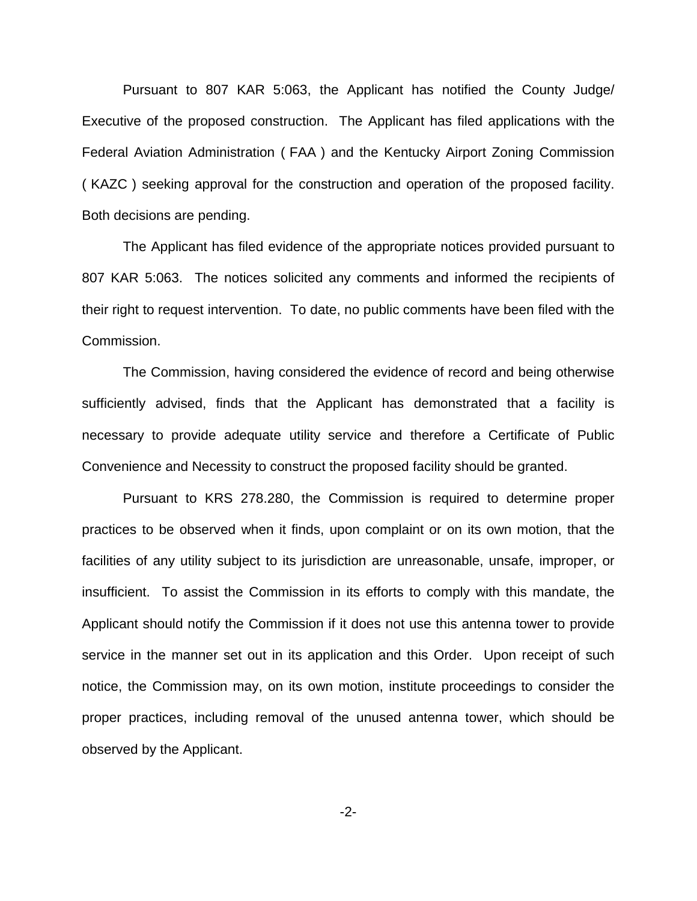Pursuant to 807 KAR 5:063, the Applicant has notified the County Judge/ Executive of the proposed construction. The Applicant has filed applications with the Federal Aviation Administration ( FAA ) and the Kentucky Airport Zoning Commission ( KAZC ) seeking approval for the construction and operation of the proposed facility. Both decisions are pending.

The Applicant has filed evidence of the appropriate notices provided pursuant to 807 KAR 5:063. The notices solicited any comments and informed the recipients of their right to request intervention. To date, no public comments have been filed with the Commission.

The Commission, having considered the evidence of record and being otherwise sufficiently advised, finds that the Applicant has demonstrated that a facility is necessary to provide adequate utility service and therefore a Certificate of Public Convenience and Necessity to construct the proposed facility should be granted.

Pursuant to KRS 278.280, the Commission is required to determine proper practices to be observed when it finds, upon complaint or on its own motion, that the facilities of any utility subject to its jurisdiction are unreasonable, unsafe, improper, or insufficient. To assist the Commission in its efforts to comply with this mandate, the Applicant should notify the Commission if it does not use this antenna tower to provide service in the manner set out in its application and this Order. Upon receipt of such notice, the Commission may, on its own motion, institute proceedings to consider the proper practices, including removal of the unused antenna tower, which should be observed by the Applicant.

-2-